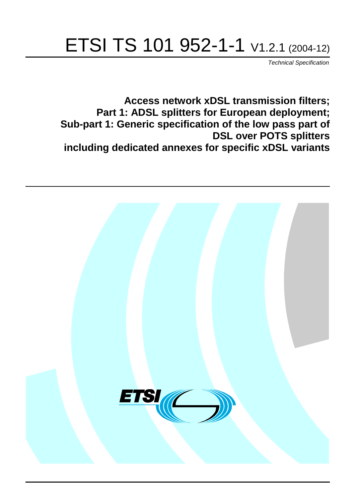# ETSI TS 101 952-1-1 V1.2.1 (2004-12)

Technical Specification

**Access network xDSL transmission filters; Part 1: ADSL splitters for European deployment; Sub-part 1: Generic specification of the low pass part of DSL over POTS splitters including dedicated annexes for specific xDSL variants**

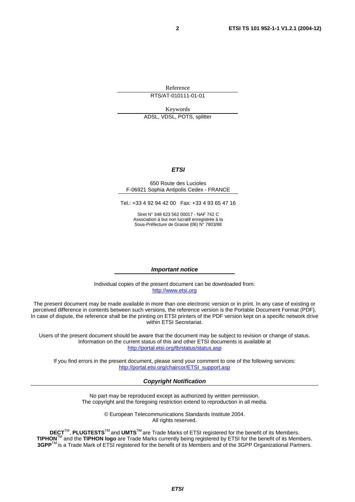Reference

RTS/AT-010111-01-01

Keywords ADSL, VDSL, POTS, splitter

#### **ETSI**

#### 650 Route des Lucioles F-06921 Sophia Antipolis Cedex - FRANCE

Tel.: +33 4 92 94 42 00 Fax: +33 4 93 65 47 16

Siret N° 348 623 562 00017 - NAF 742 C Association à but non lucratif enregistrée à la Sous-Préfecture de Grasse (06) N° 7803/88

#### **Important notice**

Individual copies of the present document can be downloaded from: [http://www.etsi.org](http://www.etsi.org/)

The present document may be made available in more than one electronic version or in print. In any case of existing or perceived difference in contents between such versions, the reference version is the Portable Document Format (PDF). In case of dispute, the reference shall be the printing on ETSI printers of the PDF version kept on a specific network drive within ETSI Secretariat.

Users of the present document should be aware that the document may be subject to revision or change of status. Information on the current status of this and other ETSI documents is available at <http://portal.etsi.org/tb/status/status.asp>

If you find errors in the present document, please send your comment to one of the following services: [http://portal.etsi.org/chaircor/ETSI\\_support.asp](http://portal.etsi.org/chaircor/ETSI_support.asp)

#### **Copyright Notification**

No part may be reproduced except as authorized by written permission. The copyright and the foregoing restriction extend to reproduction in all media.

> © European Telecommunications Standards Institute 2004. All rights reserved.

**DECT**TM, **PLUGTESTS**TM and **UMTS**TM are Trade Marks of ETSI registered for the benefit of its Members. **TIPHON**TM and the **TIPHON logo** are Trade Marks currently being registered by ETSI for the benefit of its Members. **3GPP**TM is a Trade Mark of ETSI registered for the benefit of its Members and of the 3GPP Organizational Partners.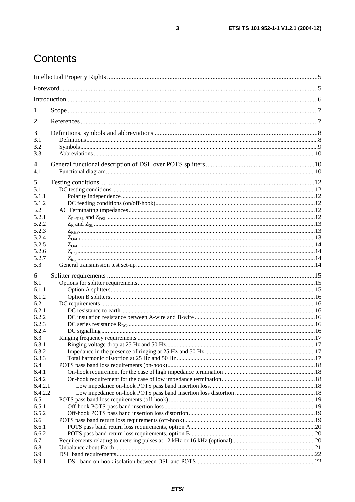## Contents

| $\mathbf{I}$   |  |
|----------------|--|
| 2              |  |
| 3              |  |
| 3.1            |  |
| 3.2            |  |
| 3.3            |  |
| 4<br>4.1       |  |
| 5              |  |
| 5.1            |  |
| 5.1.1          |  |
| 5.1.2          |  |
| 5.2            |  |
| 5.2.1          |  |
| 5.2.2          |  |
| 5.2.3          |  |
| 5.2.4          |  |
| 5.2.5          |  |
| 5.2.6          |  |
| 5.2.7          |  |
| 5.3            |  |
| 6              |  |
| 6.1            |  |
| 6.1.1          |  |
| 6.1.2          |  |
| 6.2            |  |
| 6.2.1          |  |
| 6.2.2          |  |
| 6.2.3<br>6.2.4 |  |
| 6.3            |  |
| 6.3.1          |  |
| 6.3.2          |  |
| 6.3.3          |  |
| 6.4            |  |
| 6.4.1          |  |
| 6.4.2          |  |
| 6.4.2.1        |  |
| 6.4.2.2        |  |
| 6.5            |  |
| 6.5.1          |  |
| 6.5.2          |  |
| 6.6            |  |
| 6.6.1          |  |
| 6.6.2          |  |
| 6.7            |  |
| 6.8            |  |
| 6.9            |  |
| 6.9.1          |  |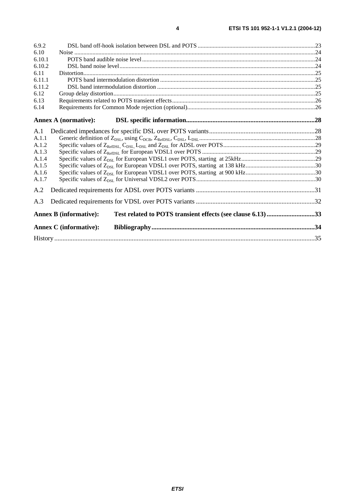| 6.9.2  |                               |                                                             |  |
|--------|-------------------------------|-------------------------------------------------------------|--|
| 6.10   |                               |                                                             |  |
| 6.10.1 |                               |                                                             |  |
| 6.10.2 |                               |                                                             |  |
| 6.11   |                               |                                                             |  |
| 6.11.1 |                               |                                                             |  |
| 6.11.2 |                               |                                                             |  |
| 6.12   |                               |                                                             |  |
| 6.13   |                               |                                                             |  |
| 6.14   |                               |                                                             |  |
|        | <b>Annex A (normative):</b>   |                                                             |  |
| A.1    |                               |                                                             |  |
| A.1.1  |                               |                                                             |  |
| A.1.2  |                               |                                                             |  |
| A.1.3  |                               |                                                             |  |
| A.1.4  |                               |                                                             |  |
| A.1.5  |                               |                                                             |  |
| A.1.6  |                               |                                                             |  |
| A.1.7  |                               |                                                             |  |
| A.2    |                               |                                                             |  |
| A.3    |                               |                                                             |  |
|        | <b>Annex B</b> (informative): | Test related to POTS transient effects (see clause 6.13) 33 |  |
|        | <b>Annex C</b> (informative): |                                                             |  |
|        |                               |                                                             |  |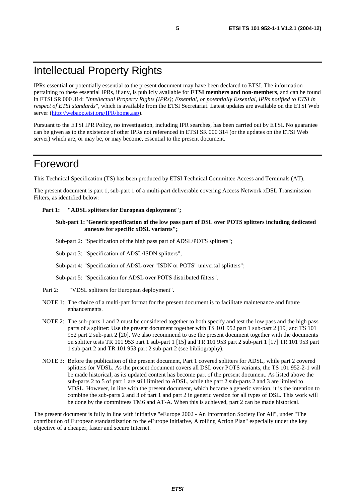## Intellectual Property Rights

IPRs essential or potentially essential to the present document may have been declared to ETSI. The information pertaining to these essential IPRs, if any, is publicly available for **ETSI members and non-members**, and can be found in ETSI SR 000 314: *"Intellectual Property Rights (IPRs); Essential, or potentially Essential, IPRs notified to ETSI in respect of ETSI standards"*, which is available from the ETSI Secretariat. Latest updates are available on the ETSI Web server (<http://webapp.etsi.org/IPR/home.asp>).

Pursuant to the ETSI IPR Policy, no investigation, including IPR searches, has been carried out by ETSI. No guarantee can be given as to the existence of other IPRs not referenced in ETSI SR 000 314 (or the updates on the ETSI Web server) which are, or may be, or may become, essential to the present document.

## Foreword

This Technical Specification (TS) has been produced by ETSI Technical Committee Access and Terminals (AT).

The present document is part 1, sub-part 1 of a multi-part deliverable covering Access Network xDSL Transmission Filters, as identified below:

#### Part 1: "ADSL splitters for European deployment";

**Sub-part 1:"Generic specification of the low pass part of DSL over POTS splitters including dedicated annexes for specific xDSL variants";** 

Sub-part 2: "Specification of the high pass part of ADSL/POTS splitters";

Sub-part 3: "Specification of ADSL/ISDN splitters";

Sub-part 4: "Specification of ADSL over "ISDN or POTS" universal splitters";

Sub-part 5: "Specification for ADSL over POTS distributed filters".

- Part 2: "VDSL splitters for European deployment".
- NOTE 1: The choice of a multi-part format for the present document is to facilitate maintenance and future enhancements.
- NOTE 2: The sub-parts 1 and 2 must be considered together to both specify and test the low pass and the high pass parts of a splitter: Use the present document together with TS 101 952 part 1 sub-part 2 [19] and TS 101 952 part 2 sub-part 2 [20]. We also recommend to use the present document together with the documents on splitter tests TR 101 953 part 1 sub-part 1 [15] and TR 101 953 part 2 sub-part 1 [17] TR 101 953 part 1 sub-part 2 and TR 101 953 part 2 sub-part 2 (see bibliography).
- NOTE 3: Before the publication of the present document, Part 1 covered splitters for ADSL, while part 2 covered splitters for VDSL. As the present document covers all DSL over POTS variants, the TS 101 952-2-1 will be made historical, as its updated content has become part of the present document. As listed above the sub-parts 2 to 5 of part 1 are still limited to ADSL, while the part 2 sub-parts 2 and 3 are limited to VDSL. However, in line with the present document, which became a generic version, it is the intention to combine the sub-parts 2 and 3 of part 1 and part 2 in generic version for all types of DSL. This work will be done by the committees TM6 and AT-A. When this is achieved, part 2 can be made historical.

The present document is fully in line with initiative "eEurope 2002 - An Information Society For All", under "The contribution of European standardization to the eEurope Initiative, A rolling Action Plan" especially under the key objective of a cheaper, faster and secure Internet.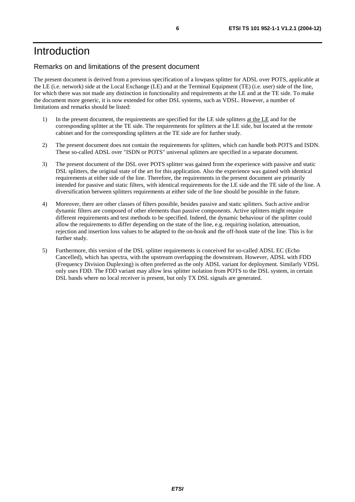## Introduction

#### Remarks on and limitations of the present document

The present document is derived from a previous specification of a lowpass splitter for ADSL over POTS, applicable at the LE (i.e. network) side at the Local Exchange (LE) and at the Terminal Equipment (TE) (i.e. user) side of the line, for which there was not made any distinction in functionality and requirements at the LE and at the TE side. To make the document more generic, it is now extended for other DSL systems, such as VDSL. However, a number of limitations and remarks should be listed:

- 1) In the present document, the requirements are specified for the LE side splitters at the LE and for the corresponding splitter at the TE side. The requirements for splitters at the LE side, but located at the remote cabinet and for the corresponding splitters at the TE side are for further study.
- 2) The present document does not contain the requirements for splitters, which can handle both POTS and ISDN. These so-called ADSL over "ISDN or POTS" universal splitters are specified in a separate document.
- 3) The present document of the DSL over POTS splitter was gained from the experience with passive and static DSL splitters, the original state of the art for this application. Also the experience was gained with identical requirements at either side of the line. Therefore, the requirements in the present document are primarily intended for passive and static filters, with identical requirements for the LE side and the TE side of the line. A diversification between splitters requirements at either side of the line should be possible in the future.
- 4) Moreover, there are other classes of filters possible, besides passive and static splitters. Such active and/or dynamic filters are composed of other elements than passive components. Active splitters might require different requirements and test methods to be specified. Indeed, the dynamic behaviour of the splitter could allow the requirements to differ depending on the state of the line, e.g. requiring isolation, attenuation, rejection and insertion loss values to be adapted to the on-hook and the off-hook state of the line. This is for further study.
- 5) Furthermore, this version of the DSL splitter requirements is conceived for so-called ADSL EC (Echo Cancelled), which has spectra, with the upstream overlapping the downstream. However, ADSL with FDD (Frequency Division Duplexing) is often preferred as the only ADSL variant for deployment. Similarly VDSL only uses FDD. The FDD variant may allow less splitter isolation from POTS to the DSL system, in certain DSL bands where no local receiver is present, but only TX DSL signals are generated.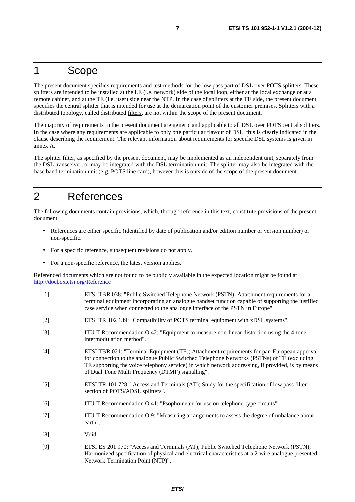## 1 Scope

The present document specifies requirements and test methods for the low pass part of DSL over POTS splitters. These splitters are intended to be installed at the LE (i.e. network) side of the local loop, either at the local exchange or at a remote cabinet, and at the TE (i.e. user) side near the NTP. In the case of splitters at the TE side, the present document specifies the central splitter that is intended for use at the demarcation point of the customer premises. Splitters with a distributed topology, called distributed filters, are not within the scope of the present document.

The majority of requirements in the present document are generic and applicable to all DSL over POTS central splitters. In the case where any requirements are applicable to only one particular flavour of DSL, this is clearly indicated in the clause describing the requirement. The relevant information about requirements for specific DSL systems is given in annex A.

The splitter filter, as specified by the present document, may be implemented as an independent unit, separately from the DSL transceiver, or may be integrated with the DSL termination unit. The splitter may also be integrated with the base band termination unit (e.g. POTS line card), however this is outside of the scope of the present document.

## 2 References

The following documents contain provisions, which, through reference in this text, constitute provisions of the present document.

- References are either specific (identified by date of publication and/or edition number or version number) or non-specific.
- For a specific reference, subsequent revisions do not apply.
- For a non-specific reference, the latest version applies.

Referenced documents which are not found to be publicly available in the expected location might be found at <http://docbox.etsi.org/Reference>

- [1] ETSI TBR 038: "Public Switched Telephone Network (PSTN); Attachment requirements for a terminal equipment incorporating an analogue handset function capable of supporting the justified case service when connected to the analogue interface of the PSTN in Europe".
- [2] ETSI TR 102 139: "Compatibility of POTS terminal equipment with xDSL systems".
- [3] ITU-T Recommendation O.42: "Equipment to measure non-linear distortion using the 4-tone intermodulation method".
- [4] ETSI TBR 021: "Terminal Equipment (TE); Attachment requirements for pan-European approval for connection to the analogue Public Switched Telephone Networks (PSTNs) of TE (excluding TE supporting the voice telephony service) in which network addressing, if provided, is by means of Dual Tone Multi Frequency (DTMF) signalling".
- [5] ETSI TR 101 728: "Access and Terminals (AT); Study for the specification of low pass filter section of POTS/ADSL splitters".
- [6] ITU-T Recommendation O.41: "Psophometer for use on telephone-type circuits".
- [7] ITU-T Recommendation O.9: "Measuring arrangements to assess the degree of unbalance about earth".
- [8] Void.
- [9] ETSI ES 201 970: "Access and Terminals (AT); Public Switched Telephone Network (PSTN); Harmonized specification of physical and electrical characteristics at a 2-wire analogue presented Network Termination Point (NTP)".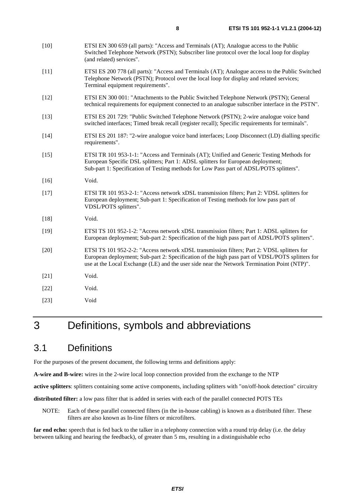| $[10]$ | ETSI EN 300 659 (all parts): "Access and Terminals (AT); Analogue access to the Public<br>Switched Telephone Network (PSTN); Subscriber line protocol over the local loop for display<br>(and related) services".                                                                            |
|--------|----------------------------------------------------------------------------------------------------------------------------------------------------------------------------------------------------------------------------------------------------------------------------------------------|
| $[11]$ | ETSI ES 200 778 (all parts): "Access and Terminals (AT); Analogue access to the Public Switched<br>Telephone Network (PSTN); Protocol over the local loop for display and related services;<br>Terminal equipment requirements".                                                             |
| $[12]$ | ETSI EN 300 001: "Attachments to the Public Switched Telephone Network (PSTN); General<br>technical requirements for equipment connected to an analogue subscriber interface in the PSTN".                                                                                                   |
| $[13]$ | ETSI ES 201 729: "Public Switched Telephone Network (PSTN); 2-wire analogue voice band<br>switched interfaces; Timed break recall (register recall); Specific requirements for terminals".                                                                                                   |
| $[14]$ | ETSI ES 201 187: "2-wire analogue voice band interfaces; Loop Disconnect (LD) dialling specific<br>requirements".                                                                                                                                                                            |
| $[15]$ | ETSI TR 101 953-1-1: "Access and Terminals (AT); Unified and Generic Testing Methods for<br>European Specific DSL splitters; Part 1: ADSL splitters for European deployment;<br>Sub-part 1: Specification of Testing methods for Low Pass part of ADSL/POTS splitters".                      |
| $[16]$ | Void.                                                                                                                                                                                                                                                                                        |
| $[17]$ | ETSI TR 101 953-2-1: "Access network xDSL transmission filters; Part 2: VDSL splitters for<br>European deployment; Sub-part 1: Specification of Testing methods for low pass part of<br>VDSL/POTS splitters".                                                                                |
| $[18]$ | Void.                                                                                                                                                                                                                                                                                        |
| $[19]$ | ETSI TS 101 952-1-2: "Access network xDSL transmission filters; Part 1: ADSL splitters for<br>European deployment; Sub-part 2: Specification of the high pass part of ADSL/POTS splitters".                                                                                                  |
| $[20]$ | ETSI TS 101 952-2-2: "Access network xDSL transmission filters; Part 2: VDSL splitters for<br>European deployment; Sub-part 2: Specification of the high pass part of VDSL/POTS splitters for<br>use at the Local Exchange (LE) and the user side near the Network Termination Point (NTP)". |
| $[21]$ | Void.                                                                                                                                                                                                                                                                                        |
| $[22]$ | Void.                                                                                                                                                                                                                                                                                        |
| $[23]$ | Void                                                                                                                                                                                                                                                                                         |

## 3 Definitions, symbols and abbreviations

## 3.1 Definitions

For the purposes of the present document, the following terms and definitions apply:

**A-wire and B-wire:** wires in the 2-wire local loop connection provided from the exchange to the NTP

**active splitters**: splitters containing some active components, including splitters with "on/off-hook detection" circuitry

**distributed filter:** a low pass filter that is added in series with each of the parallel connected POTS TEs

NOTE: Each of these parallel connected filters (in the in-house cabling) is known as a distributed filter. These filters are also known as In-line filters or microfilters.

**far end echo:** speech that is fed back to the talker in a telephony connection with a round trip delay (i.e. the delay between talking and hearing the feedback), of greater than 5 ms, resulting in a distinguishable echo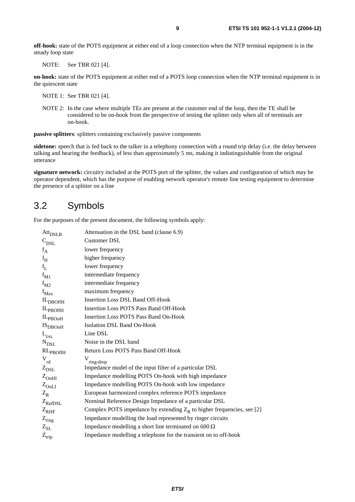**off-hook:** state of the POTS equipment at either end of a loop connection when the NTP terminal equipment is in the steady loop state

NOTE: See TBR 021 [4].

**on-hook:** state of the POTS equipment at either end of a POTS loop connection when the NTP terminal equipment is in the quiescent state

NOTE 1: See TBR 021 [4].

NOTE 2: In the case where multiple TEs are present at the customer end of the loop, then the TE shall be considered to be on-hook from the perspective of testing the splitter only when all of terminals are on-hook.

**passive splitters**: splitters containing exclusively passive components

**sidetone:** speech that is fed back to the talker in a telephony connection with a round trip delay (i.e. the delay between talking and hearing the feedback), of less than approximately 5 ms, making it indistinguishable from the original utterance

**signature network:** circuitry included at the POTS port of the splitter, the values and configuration of which may be operator dependent, which has the purpose of enabling network operator's remote line testing equipment to determine the presence of a splitter on a line

### 3.2 Symbols

For the purposes of the present document, the following symbols apply:

| $Att_{DSLB}$                | Attenuation in the DSL band (clause 6.9)                                 |
|-----------------------------|--------------------------------------------------------------------------|
| $\mathbf{C}_{\mathrm{DSL}}$ | Customer DSL                                                             |
| $f_A$                       | lower frequency                                                          |
| $f_H$                       | higher frequency                                                         |
| $f_L$                       | lower frequency                                                          |
| $f_{M1}$                    | intermediate frequency                                                   |
| $f_{M2}$                    | intermediate frequency                                                   |
| $f_{Max}$                   | maximum frequency                                                        |
| $IL$ <sub>DBOffH</sub>      | <b>Insertion Loss DSL Band Off-Hook</b>                                  |
| $IL_{PBOffH}$               | <b>Insertion Loss POTS Pass Band Off-Hook</b>                            |
| IL <sub>PBOH</sub>          | <b>Insertion Loss POTS Pass Band On-Hook</b>                             |
| IS <sub>DBOnH</sub>         | <b>Isolation DSL Band On-Hook</b>                                        |
| $\mathcal{L}_{_{\rm{DSL}}}$ | Line DSL                                                                 |
| ${\rm N_{DSL}}$             | Noise in the DSL band                                                    |
| $RL_{PBOffH}$               | Return Loss POTS Pass Band Off-Hook                                      |
| $V_{rd}$                    | $\rm V_{ring\text{-}drop}$                                               |
| $Z_{\text{DSL}}$            | Impedance model of the input filter of a particular DSL                  |
| $Z_{\text{OnHI}}$           | Impedance modelling POTS On-hook with high impedance                     |
| $Z_{\text{OnLI}}$           | Impedance modelling POTS On-hook with low impedance                      |
| $Z_{R}$                     | European harmonized complex reference POTS impedance                     |
| $Z_{\rm RefDSL}$            | Nominal Reference Design Impedance of a particular DSL                   |
| $Z_{RHF}$                   | Complex POTS impedance by extending $Z_R$ to higher frequencies, see [2] |
| $Z_{ring}$                  | Impedance modelling the load represented by ringer circuits              |
| $\rm Z_{SL}$                | Impedance modelling a short line terminated on 600 $\Omega$              |
| $Z_{\rm trip}$              | Impedance modelling a telephone for the transient on to off-hook         |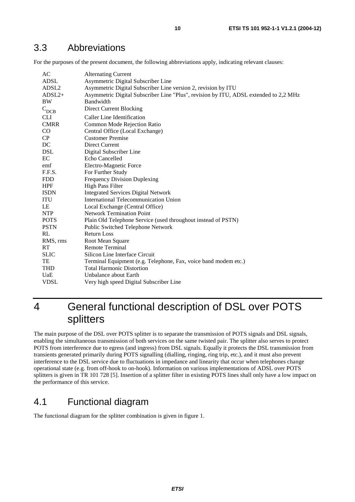## 3.3 Abbreviations

For the purposes of the present document, the following abbreviations apply, indicating relevant clauses:

| AC                | <b>Alternating Current</b>                                                           |
|-------------------|--------------------------------------------------------------------------------------|
| <b>ADSL</b>       | Asymmetric Digital Subscriber Line                                                   |
| ADSL <sub>2</sub> | Asymmetric Digital Subscriber Line version 2, revision by ITU                        |
| $ADSL2+$          | Asymmetric Digital Subscriber Line "Plus", revision by ITU, ADSL extended to 2,2 MHz |
| <b>BW</b>         | <b>Bandwidth</b>                                                                     |
| $C_{DCB}$         | Direct Current Blocking                                                              |
| <b>CLI</b>        | Caller Line Identification                                                           |
| <b>CMRR</b>       | Common Mode Rejection Ratio                                                          |
| $\rm CO$          | Central Office (Local Exchange)                                                      |
| CP                | <b>Customer Premise</b>                                                              |
| DC                | <b>Direct Current</b>                                                                |
| <b>DSL</b>        | Digital Subscriber Line                                                              |
| EC                | <b>Echo Cancelled</b>                                                                |
| emf               | Electro-Magnetic Force                                                               |
| F.F.S.            | For Further Study                                                                    |
| <b>FDD</b>        | <b>Frequency Division Duplexing</b>                                                  |
| <b>HPF</b>        | <b>High Pass Filter</b>                                                              |
| <b>ISDN</b>       | <b>Integrated Services Digital Network</b>                                           |
| ITU               | <b>International Telecommunication Union</b>                                         |
| LE                | Local Exchange (Central Office)                                                      |
| <b>NTP</b>        | <b>Network Termination Point</b>                                                     |
| <b>POTS</b>       | Plain Old Telephone Service (used throughout instead of PSTN)                        |
| <b>PSTN</b>       | <b>Public Switched Telephone Network</b>                                             |
| RL                | <b>Return Loss</b>                                                                   |
| RMS, rms          | Root Mean Square                                                                     |
| <b>RT</b>         | Remote Terminal                                                                      |
| <b>SLIC</b>       | Silicon Line Interface Circuit                                                       |
| TE                | Terminal Equipment (e.g. Telephone, Fax, voice band modem etc.)                      |
| <b>THD</b>        | <b>Total Harmonic Distortion</b>                                                     |
| UaE               | Unbalance about Earth                                                                |
| <b>VDSL</b>       | Very high speed Digital Subscriber Line                                              |
|                   |                                                                                      |

## 4 General functional description of DSL over POTS splitters

The main purpose of the DSL over POTS splitter is to separate the transmission of POTS signals and DSL signals, enabling the simultaneous transmission of both services on the same twisted pair. The splitter also serves to protect POTS from interference due to egress (and ingress) from DSL signals. Equally it protects the DSL transmission from transients generated primarily during POTS signalling (dialling, ringing, ring trip, etc.), and it must also prevent interference to the DSL service due to fluctuations in impedance and linearity that occur when telephones change operational state (e.g. from off-hook to on-hook). Information on various implementations of ADSL over POTS splitters is given in TR 101 728 [5]. Insertion of a splitter filter in existing POTS lines shall only have a low impact on the performance of this service.

## 4.1 Functional diagram

The functional diagram for the splitter combination is given in figure 1.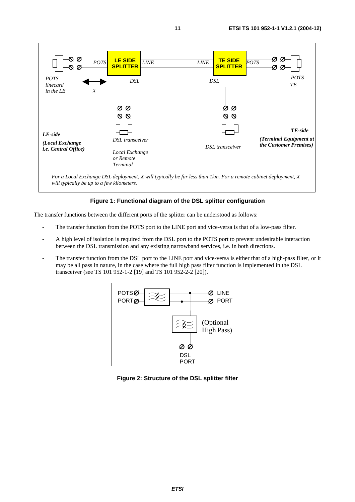

#### **Figure 1: Functional diagram of the DSL splitter configuration**

The transfer functions between the different ports of the splitter can be understood as follows:

- The transfer function from the POTS port to the LINE port and vice-versa is that of a low-pass filter.
- A high level of isolation is required from the DSL port to the POTS port to prevent undesirable interaction between the DSL transmission and any existing narrowband services, i.e. in both directions.
- The transfer function from the DSL port to the LINE port and vice-versa is either that of a high-pass filter, or it may be all pass in nature, in the case where the full high pass filter function is implemented in the DSL transceiver (see TS 101 952-1-2 [19] and TS 101 952-2-2 [20]).



**Figure 2: Structure of the DSL splitter filter**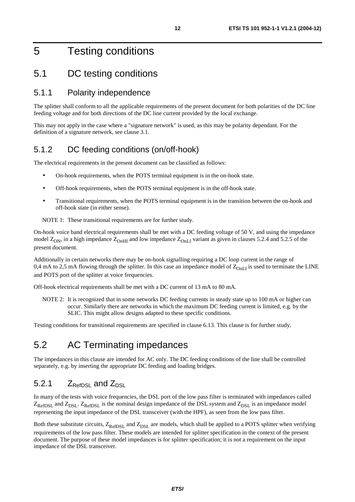## 5 Testing conditions

### 5.1 DC testing conditions

#### 5.1.1 Polarity independence

The splitter shall conform to all the applicable requirements of the present document for both polarities of the DC line feeding voltage and for both directions of the DC line current provided by the local exchange.

This may not apply in the case where a "signature network" is used, as this may be polarity dependant. For the definition of a signature network, see clause 3.1.

#### 5.1.2 DC feeding conditions (on/off-hook)

The electrical requirements in the present document can be classified as follows:

- On-hook requirements, when the POTS terminal equipment is in the on-hook state.
- Off-hook requirements, when the POTS terminal equipment is in the off-hook state.
- Transitional requirements, when the POTS terminal equipment is in the transition between the on-hook and off-hook state (in either sense).

NOTE 1: These transitional requirements are for further study.

On-hook voice band electrical requirements shall be met with a DC feeding voltage of 50 V, and using the impedance model  $Z_{ON}$ , in a high impedance  $Z_{OnHI}$  and low impedance  $Z_{OnLI}$  variant as given in clauses 5.2.4 and 5.2.5 of the present document.

Additionally in certain networks there may be on-hook signalling requiring a DC loop current in the range of 0,4 mA to 2,5 mA flowing through the splitter. In this case an impedance model of  $Z_{\text{OnI}}$  is used to terminate the LINE and POTS port of the splitter at voice frequencies.

Off-hook electrical requirements shall be met with a DC current of 13 mA to 80 mA.

NOTE 2: It is recognized that in some networks DC feeding currents in steady state up to 100 mA or higher can occur. Similarly there are networks in which the maximum DC feeding current is limited, e.g. by the SLIC. This might allow designs adapted to these specific conditions.

Testing conditions for transitional requirements are specified in clause 6.13. This clause is for further study.

### 5.2 AC Terminating impedances

The impedances in this clause are intended for AC only. The DC feeding conditions of the line shall be controlled separately, e.g. by inserting the appropriate DC feeding and loading bridges.

#### 5.2.1  $Z_{\text{RefDSL}}$  and  $Z_{\text{DSL}}$

In many of the tests with voice frequencies, the DSL port of the low pass filter is terminated with impedances called  $Z_{\text{RefDSL}}$  and  $Z_{\text{DSL}}$ .  $Z_{\text{RefDSL}}$  is the nominal design impedance of the DSL system and  $Z_{\text{DSL}}$  is an impedance model representing the input impedance of the DSL transceiver (with the HPF), as seen from the low pass filter.

Both these substitute circuits,  $Z_{RefDSL}$  and  $Z_{DSL}$  are models, which shall be applied to a POTS splitter when verifying requirements of the low pass filter. These models are intended for splitter specification in the context of the present document. The purpose of these model impedances is for splitter specification; it is not a requirement on the input impedance of the DSL transceiver.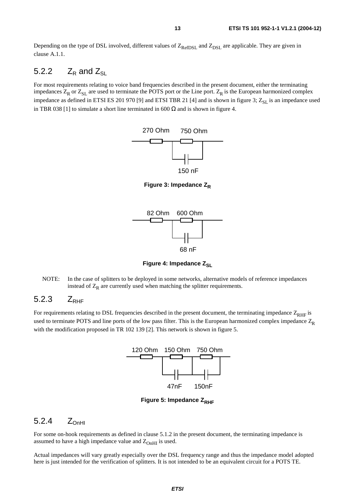Depending on the type of DSL involved, different values of  $Z_{RefDSL}$  and  $Z_{DSL}$  are applicable. They are given in clause A.1.1.

#### 5.2.2  $Z_R$  and  $Z_{SI}$

For most requirements relating to voice band frequencies described in the present document, either the terminating impedances  $Z_R$  or  $Z_{SL}$  are used to terminate the POTS port or the Line port.  $Z_R$  is the European harmonized complex impedance as defined in ETSI ES 201 970 [9] and ETSI TBR 21 [4] and is shown in figure 3;  $Z_{\rm SL}$  is an impedance used in TBR 038 [1] to simulate a short line terminated in 600  $\Omega$  and is shown in figure 4.



**Figure 3: Impedance Z<sub>R</sub>** 



**Figure 4: Impedance Z<sub>SL</sub>** 

NOTE: In the case of splitters to be deployed in some networks, alternative models of reference impedances instead of  $Z_R$  are currently used when matching the splitter requirements.

#### $5.2.3$   $Z_{\text{RHE}}$

For requirements relating to DSL frequencies described in the present document, the terminating impedance  $Z_{RHF}$  is used to terminate POTS and line ports of the low pass filter. This is the European harmonized complex impedance  $Z_R$ with the modification proposed in TR 102 139 [2]. This network is shown in figure 5.



**Figure 5: Impedance Z<sub>RHF</sub>** 

#### 5.2.4  $Z_{\text{OnHI}}$

For some on-hook requirements as defined in clause 5.1.2 in the present document, the terminating impedance is assumed to have a high impedance value and  $Z_{OnHI}$  is used.

Actual impedances will vary greatly especially over the DSL frequency range and thus the impedance model adopted here is just intended for the verification of splitters. It is not intended to be an equivalent circuit for a POTS TE.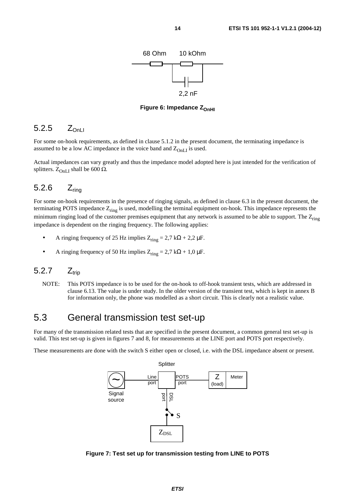

**Figure 6: Impedance Z<sub>OnHI</sub>** 

#### 5.2.5  $Z_{\text{OnLI}}$

For some on-hook requirements, as defined in clause 5.1.2 in the present document, the terminating impedance is assumed to be a low AC impedance in the voice band and  $Z_{OnL}$  is used.

Actual impedances can vary greatly and thus the impedance model adopted here is just intended for the verification of splitters.  $Z_{\text{OnLI}}$  shall be 600  $\Omega$ .

#### 5.2.6 Zring

For some on-hook requirements in the presence of ringing signals, as defined in clause 6.3 in the present document, the terminating POTS impedance  $Z_{\text{rino}}$  is used, modelling the terminal equipment on-hook. This impedance represents the minimum ringing load of the customer premises equipment that any network is assumed to be able to support. The  $Z_{ring}$ impedance is dependent on the ringing frequency. The following applies:

- A ringing frequency of 25 Hz implies  $Z_{\text{ring}} = 2.7 \text{ k}\Omega + 2.2 \text{ }\mu\text{F}.$
- A ringing frequency of 50 Hz implies  $Z_{ring} = 2.7 \text{ k}\Omega + 1.0 \text{ }\mu\text{F}.$

### $5.2.7$   $Z_{\text{trin}}$

NOTE: This POTS impedance is to be used for the on-hook to off-hook transient tests, which are addressed in clause 6.13. The value is under study. In the older version of the transient test, which is kept in annex B for information only, the phone was modelled as a short circuit. This is clearly not a realistic value.

### 5.3 General transmission test set-up

For many of the transmission related tests that are specified in the present document, a common general test set-up is valid. This test set-up is given in figures 7 and 8, for measurements at the LINE port and POTS port respectively.

These measurements are done with the switch S either open or closed, i.e. with the DSL impedance absent or present.



**Figure 7: Test set up for transmission testing from LINE to POTS**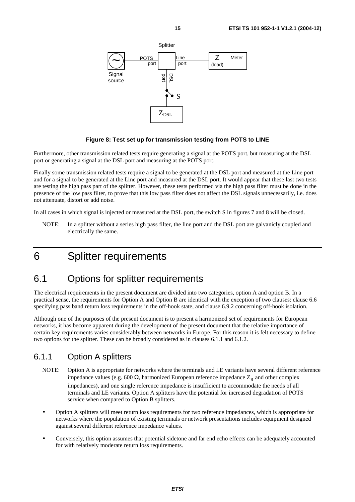

#### **Figure 8: Test set up for transmission testing from POTS to LINE**

Furthermore, other transmission related tests require generating a signal at the POTS port, but measuring at the DSL port or generating a signal at the DSL port and measuring at the POTS port.

Finally some transmission related tests require a signal to be generated at the DSL port and measured at the Line port and for a signal to be generated at the Line port and measured at the DSL port. It would appear that these last two tests are testing the high pass part of the splitter. However, these tests performed via the high pass filter must be done in the presence of the low pass filter, to prove that this low pass filter does not affect the DSL signals unnecessarily, i.e. does not attenuate, distort or add noise.

In all cases in which signal is injected or measured at the DSL port, the switch S in figures 7 and 8 will be closed.

NOTE: In a splitter without a series high pass filter, the line port and the DSL port are galvanicly coupled and electrically the same.

## 6 Splitter requirements

### 6.1 Options for splitter requirements

The electrical requirements in the present document are divided into two categories, option A and option B. In a practical sense, the requirements for Option A and Option B are identical with the exception of two clauses: clause 6.6 specifying pass band return loss requirements in the off-hook state, and clause 6.9.2 concerning off-hook isolation.

Although one of the purposes of the present document is to present a harmonized set of requirements for European networks, it has become apparent during the development of the present document that the relative importance of certain key requirements varies considerably between networks in Europe. For this reason it is felt necessary to define two options for the splitter. These can be broadly considered as in clauses 6.1.1 and 6.1.2.

#### 6.1.1 Option A splitters

- NOTE: Option A is appropriate for networks where the terminals and LE variants have several different reference impedance values (e.g. 600  $\Omega$ , harmonized European reference impedance  $Z_R$  and other complex impedances), and one single reference impedance is insufficient to accommodate the needs of all terminals and LE variants. Option A splitters have the potential for increased degradation of POTS service when compared to Option B splitters.
- Option A splitters will meet return loss requirements for two reference impedances, which is appropriate for networks where the population of existing terminals or network presentations includes equipment designed against several different reference impedance values.
- Conversely, this option assumes that potential sidetone and far end echo effects can be adequately accounted for with relatively moderate return loss requirements.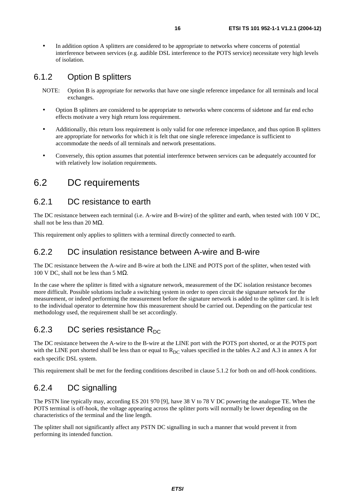• In addition option A splitters are considered to be appropriate to networks where concerns of potential interference between services (e.g. audible DSL interference to the POTS service) necessitate very high levels of isolation.

### 6.1.2 Option B splitters

- NOTE: Option B is appropriate for networks that have one single reference impedance for all terminals and local exchanges.
- Option B splitters are considered to be appropriate to networks where concerns of sidetone and far end echo effects motivate a very high return loss requirement.
- Additionally, this return loss requirement is only valid for one reference impedance, and thus option B splitters are appropriate for networks for which it is felt that one single reference impedance is sufficient to accommodate the needs of all terminals and network presentations.
- Conversely, this option assumes that potential interference between services can be adequately accounted for with relatively low isolation requirements.

### 6.2 DC requirements

### 6.2.1 DC resistance to earth

The DC resistance between each terminal (i.e. A-wire and B-wire) of the splitter and earth, when tested with 100 V DC, shall not be less than 20  $MΩ$ .

This requirement only applies to splitters with a terminal directly connected to earth.

#### 6.2.2 DC insulation resistance between A-wire and B-wire

The DC resistance between the A-wire and B-wire at both the LINE and POTS port of the splitter, when tested with 100 V DC, shall not be less than 5 MΩ.

In the case where the splitter is fitted with a signature network, measurement of the DC isolation resistance becomes more difficult. Possible solutions include a switching system in order to open circuit the signature network for the measurement, or indeed performing the measurement before the signature network is added to the splitter card. It is left to the individual operator to determine how this measurement should be carried out. Depending on the particular test methodology used, the requirement shall be set accordingly.

### 6.2.3 DC series resistance  $R_{DC}$

The DC resistance between the A-wire to the B-wire at the LINE port with the POTS port shorted, or at the POTS port with the LINE port shorted shall be less than or equal to  $R_{DC}$  values specified in the tables A.2 and A.3 in annex A for each specific DSL system.

This requirement shall be met for the feeding conditions described in clause 5.1.2 for both on and off-hook conditions.

### 6.2.4 DC signalling

The PSTN line typically may, according ES 201 970 [9], have 38 V to 78 V DC powering the analogue TE. When the POTS terminal is off-hook, the voltage appearing across the splitter ports will normally be lower depending on the characteristics of the terminal and the line length.

The splitter shall not significantly affect any PSTN DC signalling in such a manner that would prevent it from performing its intended function.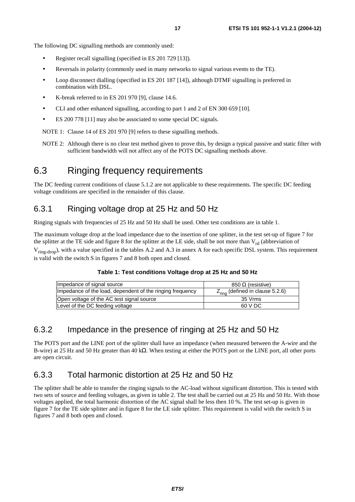The following DC signalling methods are commonly used:

- Register recall signalling (specified in ES 201 729 [13]).
- Reversals in polarity (commonly used in many networks to signal various events to the TE).
- Loop disconnect dialling (specified in ES 201 187 [14]), although DTMF signalling is preferred in combination with DSL.
- K-break referred to in ES 201 970 [9], clause 14.6.
- CLI and other enhanced signalling, according to part 1 and 2 of EN 300 659 [10].
- ES 200 778 [11] may also be associated to some special DC signals.

NOTE 1: Clause 14 of ES 201 970 [9] refers to these signalling methods.

NOTE 2: Although there is no clear test method given to prove this, by design a typical passive and static filter with sufficient bandwidth will not affect any of the POTS DC signalling methods above.

### 6.3 Ringing frequency requirements

The DC feeding current conditions of clause 5.1.2 are not applicable to these requirements. The specific DC feeding voltage conditions are specified in the remainder of this clause.

#### 6.3.1 Ringing voltage drop at 25 Hz and 50 Hz

Ringing signals with frequencies of 25 Hz and 50 Hz shall be used. Other test conditions are in table 1.

The maximum voltage drop at the load impedance due to the insertion of one splitter, in the test set-up of figure 7 for the splitter at the TE side and figure 8 for the splitter at the LE side, shall be not more than  $V_{rd}$  (abbreviation of  $V_{\text{ring-dron}}$ , with a value specified in the tables A.2 and A.3 in annex A for each specific DSL system. This requirement is valid with the switch S in figures 7 and 8 both open and closed.

#### **Table 1: Test conditions Voltage drop at 25 Hz and 50 Hz**

| Impedance of signal source                                | 850 Ω (resistive)                           |
|-----------------------------------------------------------|---------------------------------------------|
| Impedance of the load, dependent of the ringing frequency | $Z_{\text{ring}}$ (defined in clause 5.2.6) |
| Open voltage of the AC test signal source                 | 35 Vrms                                     |
| Level of the DC feeding voltage                           | 60 V DC                                     |

#### 6.3.2 Impedance in the presence of ringing at 25 Hz and 50 Hz

The POTS port and the LINE port of the splitter shall have an impedance (when measured between the A-wire and the B-wire) at 25 Hz and 50 Hz greater than 40 kΩ. When testing at either the POTS port or the LINE port, all other ports are open circuit.

### 6.3.3 Total harmonic distortion at 25 Hz and 50 Hz

The splitter shall be able to transfer the ringing signals to the AC-load without significant distortion. This is tested with two sets of source and feeding voltages, as given in table 2. The test shall be carried out at 25 Hz and 50 Hz. With those voltages applied, the total harmonic distortion of the AC signal shall be less then 10 %. The test set-up is given in figure 7 for the TE side splitter and in figure 8 for the LE side splitter. This requirement is valid with the switch S in figures 7 and 8 both open and closed.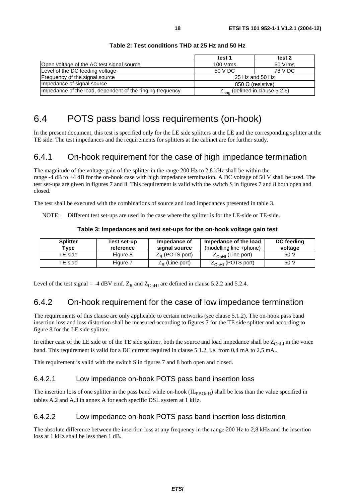|                                                           | test 1                                      | test 2  |
|-----------------------------------------------------------|---------------------------------------------|---------|
| Open voltage of the AC test signal source                 | 100 Vrms                                    | 50 Vrms |
| Level of the DC feeding voltage                           | 50 V DC                                     | 78 V DC |
| Frequency of the signal source<br>25 Hz and 50 Hz         |                                             |         |
| Impedance of signal source                                | 850 Ω (resistive)                           |         |
| Impedance of the load, dependent of the ringing frequency | $Z_{\text{ring}}$ (defined in clause 5.2.6) |         |

#### **Table 2: Test conditions THD at 25 Hz and 50 Hz**

## 6.4 POTS pass band loss requirements (on-hook)

In the present document, this test is specified only for the LE side splitters at the LE and the corresponding splitter at the TE side. The test impedances and the requirements for splitters at the cabinet are for further study.

#### 6.4.1 On-hook requirement for the case of high impedance termination

The magnitude of the voltage gain of the splitter in the range 200 Hz to 2,8 kHz shall be within the range -4 dB to +4 dB for the on-hook case with high impedance termination. A DC voltage of 50 V shall be used. The test set-ups are given in figures 7 and 8. This requirement is valid with the switch S in figures 7 and 8 both open and closed.

The test shall be executed with the combinations of source and load impedances presented in table 3.

NOTE: Different test set-ups are used in the case where the splitter is for the LE-side or TE-side.

| <b>Splitter</b><br>$\mathsf{vpe}$ | Test set-up<br>reference | Impedance of<br>signal source | Impedance of the load<br>(modelling line +phone) | <b>DC</b> feeding<br>voltage |
|-----------------------------------|--------------------------|-------------------------------|--------------------------------------------------|------------------------------|
| LE side                           | Figure 8                 | $Z_{\rm D}$ (POTS port)       | $Z_{\text{OhH}}$ (Line port)                     | 50 V                         |
| TE side                           | Figure 7                 | $Z_R$ (Line port)             | $Z_{\text{OhH}}$ (POTS port)                     | 50 V                         |

**Table 3: Impedances and test set-ups for the on-hook voltage gain test** 

Level of the test signal = -4 dBV emf.  $Z_R$  and  $Z_{OnHI}$  are defined in clause 5.2.2 and 5.2.4.

#### 6.4.2 On-hook requirement for the case of low impedance termination

The requirements of this clause are only applicable to certain networks (see clause 5.1.2). The on-hook pass band insertion loss and loss distortion shall be measured according to figures 7 for the TE side splitter and according to figure 8 for the LE side splitter.

In either case of the LE side or of the TE side splitter, both the source and load impedance shall be  $Z_{OnL}$  in the voice band. This requirement is valid for a DC current required in clause 5.1.2, i.e. from 0,4 mA to 2,5 mA..

This requirement is valid with the switch S in figures 7 and 8 both open and closed.

#### 6.4.2.1 Low impedance on-hook POTS pass band insertion loss

The insertion loss of one splitter in the pass band while on-hook  $(\text{IL}_{\text{PBOnH}})$  shall be less than the value specified in tables A.2 and A.3 in annex A for each specific DSL system at 1 kHz.

#### 6.4.2.2 Low impedance on-hook POTS pass band insertion loss distortion

The absolute difference between the insertion loss at any frequency in the range 200 Hz to 2,8 kHz and the insertion loss at 1 kHz shall be less then 1 dB.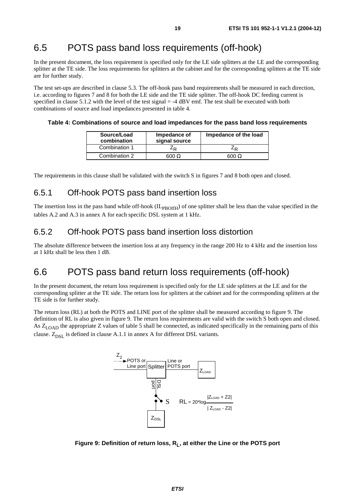## 6.5 POTS pass band loss requirements (off-hook)

In the present document, the loss requirement is specified only for the LE side splitters at the LE and the corresponding splitter at the TE side. The loss requirements for splitters at the cabinet and for the corresponding splitters at the TE side are for further study.

The test set-ups are described in clause 5.3. The off-hook pass band requirements shall be measured in each direction, i.e. according to figures 7 and 8 for both the LE side and the TE side splitter. The off-hook DC feeding current is specified in clause 5.1.2 with the level of the test signal  $=$  -4 dBV emf. The test shall be executed with both combinations of source and load impedances presented in table 4.

#### **Table 4: Combinations of source and load impedances for the pass band loss requirements**

| Source/Load<br>combination | Impedance of<br>signal source | Impedance of the load |  |
|----------------------------|-------------------------------|-----------------------|--|
| Combination 1              | -R                            | ∠⊳                    |  |
| Combination 2              | 600 $\Omega$                  | 600 $\Omega$          |  |

The requirements in this clause shall be validated with the switch S in figures 7 and 8 both open and closed.

### 6.5.1 Off-hook POTS pass band insertion loss

The insertion loss in the pass band while off-hook (IL<sub>PBOffH</sub>) of one splitter shall be less than the value specified in the tables A.2 and A.3 in annex A for each specific DSL system at 1 kHz.

#### 6.5.2 Off-hook POTS pass band insertion loss distortion

The absolute difference between the insertion loss at any frequency in the range 200 Hz to 4 kHz and the insertion loss at 1 kHz shall be less then 1 dB.

### 6.6 POTS pass band return loss requirements (off-hook)

In the present document, the return loss requirement is specified only for the LE side splitters at the LE and for the corresponding splitter at the TE side. The return loss for splitters at the cabinet and for the corresponding splitters at the TE side is for further study.

The return loss (RL) at both the POTS and LINE port of the splitter shall be measured according to figure 9. The definition of RL is also given in figure 9. The return loss requirements are valid with the switch S both open and closed. As  $Z_{\text{LOAD}}$  the appropriate Z values of table 5 shall be connected, as indicated specifically in the remaining parts of this clause.  $Z_{\text{DSL}}$  is defined in clause A.1.1 in annex A for different DSL variants.



Figure 9: Definition of return loss, R<sub>1</sub>, at either the Line or the POTS port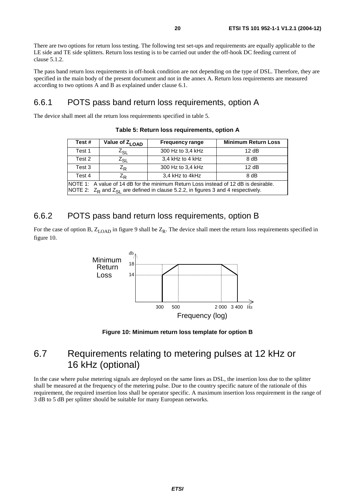There are two options for return loss testing. The following test set-ups and requirements are equally applicable to the LE side and TE side splitters. Return loss testing is to be carried out under the off-hook DC feeding current of clause 5.1.2.

The pass band return loss requirements in off-hook condition are not depending on the type of DSL. Therefore, they are specified in the main body of the present document and not in the annex A. Return loss requirements are measured according to two options A and B as explained under clause 6.1.

#### 6.6.1 POTS pass band return loss requirements, option A

The device shall meet all the return loss requirements specified in table 5.

| Test#                                                                                                                                                                           | Value of $Z_{LOAD}$ | <b>Frequency range</b> | <b>Minimum Return Loss</b> |  |
|---------------------------------------------------------------------------------------------------------------------------------------------------------------------------------|---------------------|------------------------|----------------------------|--|
| Test 1                                                                                                                                                                          | $Z_{SL}$            | 300 Hz to 3,4 kHz      | 12 dB                      |  |
| Test 2                                                                                                                                                                          | $Z_{SL}$            | 3,4 kHz to 4 kHz       | 8 dB                       |  |
| Test 3                                                                                                                                                                          | $Z_{R}$             | 300 Hz to 3,4 kHz      | 12 dB                      |  |
| Test 4                                                                                                                                                                          | $Z_{\rm R}$         | 3,4 kHz to 4kHz        | $8$ dB                     |  |
| NOTE 1: A value of 14 dB for the minimum Return Loss instead of 12 dB is desirable.<br>NOTE 2: $Z_R$ and $Z_{SI}$ are defined in clause 5.2.2, in figures 3 and 4 respectively. |                     |                        |                            |  |

**Table 5: Return loss requirements, option A** 

#### 6.6.2 POTS pass band return loss requirements, option B

For the case of option B,  $Z_{LOAD}$  in figure 9 shall be  $Z_R$ . The device shall meet the return loss requirements specified in figure 10.



**Figure 10: Minimum return loss template for option B** 

### 6.7 Requirements relating to metering pulses at 12 kHz or 16 kHz (optional)

In the case where pulse metering signals are deployed on the same lines as DSL, the insertion loss due to the splitter shall be measured at the frequency of the metering pulse. Due to the country specific nature of the rationale of this requirement, the required insertion loss shall be operator specific. A maximum insertion loss requirement in the range of 3 dB to 5 dB per splitter should be suitable for many European networks.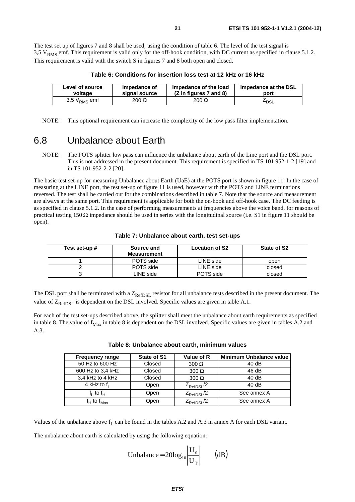The test set up of figures 7 and 8 shall be used, using the condition of table 6. The level of the test signal is 3,5  $V<sub>RMS</sub>$  emf. This requirement is valid only for the off-hook condition, with DC current as specified in clause 5.1.2. This requirement is valid with the switch S in figures 7 and 8 both open and closed.

| Level of source   | Impedance of  | Impedance of the load  | Impedance at the DSL |
|-------------------|---------------|------------------------|----------------------|
| voltage           | signal source | (Z in figures 7 and 8) | port                 |
| 3,5 $V_{RMS}$ emf | $200 \Omega$  | $200 \Omega$           | ∸dsl                 |

**Table 6: Conditions for insertion loss test at 12 kHz or 16 kHz** 

NOTE: This optional requirement can increase the complexity of the low pass filter implementation.

### 6.8 Unbalance about Earth

NOTE: The POTS splitter low pass can influence the unbalance about earth of the Line port and the DSL port. This is not addressed in the present document. This requirement is specified in TS 101 952-1-2 [19] and in TS 101 952-2-2 [20].

The basic test set-up for measuring Unbalance about Earth (UaE) at the POTS port is shown in figure 11. In the case of measuring at the LINE port, the test set-up of figure 11 is used, however with the POTS and LINE terminations reversed. The test shall be carried out for the combinations described in table 7. Note that the source and measurement are always at the same port. This requirement is applicable for both the on-hook and off-hook case. The DC feeding is as specified in clause 5.1.2. In the case of performing measurements at frequencies above the voice band, for reasons of practical testing 150  $\Omega$  impedance should be used in series with the longitudinal source (i.e. S1 in figure 11 should be open).

| Test set-up # | Source and<br><b>Measurement</b> | <b>Location of S2</b> | State of S2 |
|---------------|----------------------------------|-----------------------|-------------|
|               | POTS side                        | LINE side             | open        |
|               | POTS side                        | LINE side             | closed      |
|               | ∟INE side                        | POTS side             | closed      |

#### **Table 7: Unbalance about earth, test set-ups**

The DSL port shall be terminated with a  $Z_{\text{RefDSL}}$  resistor for all unbalance tests described in the present document. The value of  $Z_{\text{RefDSL}}$  is dependent on the DSL involved. Specific values are given in table A.1.

For each of the test set-ups described above, the splitter shall meet the unbalance about earth requirements as specified in table 8. The value of  $f_{\text{Max}}$  in table 8 is dependent on the DSL involved. Specific values are given in tables A.2 and A.3.

| <b>Frequency range</b>          | State of S1 | Value of R             | <b>Minimum Unbalance value</b> |
|---------------------------------|-------------|------------------------|--------------------------------|
| 50 Hz to 600 Hz                 | Closed      | $300 \Omega$           | 40dB                           |
| 600 Hz to 3,4 kHz               | Closed      | $300 \Omega$           | 46 dB                          |
| 3,4 kHz to 4 kHz                | Closed      | $300 \Omega$           | 40dB                           |
| 4 kHz to $f1$                   | Open        | $Z_{\text{RefDSL}}/2$  | 40dB                           |
| f <sub>l</sub> tof <sub>H</sub> | Open        | $Z_{\text{RefDSL}}/2$  | See annex A                    |
| $f_H$ to $f_{\sf Max}$          | Open        | Z <sub>RefDSL</sub> /2 | See annex A                    |

| Table 8: Unbalance about earth, minimum values |  |  |  |  |  |
|------------------------------------------------|--|--|--|--|--|
|------------------------------------------------|--|--|--|--|--|

Values of the unbalance above  $f_L$  can be found in the tables A.2 and A.3 in annex A for each DSL variant.

The unbalance about earth is calculated by using the following equation:

Unbalance = 
$$
20\log_{10} \left| \frac{U_0}{U_T} \right|
$$
 (dB)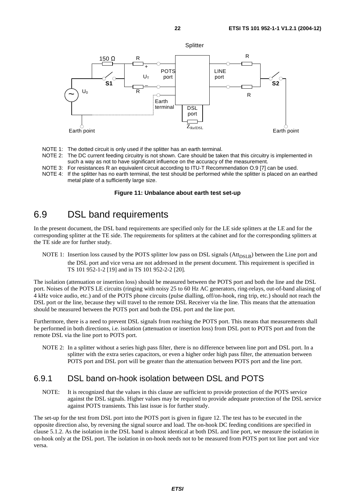

- NOTE 1: The dotted circuit is only used if the splitter has an earth terminal.
- NOTE 2: The DC current feeding circuitry is not shown. Care should be taken that this circuitry is implemented in such a way as not to have significant influence on the accuracy of the measurement.
- NOTE 3: For resistances R an equivalent circuit according to ITU-T Recommendation O.9 [7] can be used.
- NOTE 4: If the splitter has no earth terminal, the test should be performed while the splitter is placed on an earthed metal plate of a sufficiently large size.

#### **Figure 11: Unbalance about earth test set-up**

### 6.9 DSL band requirements

In the present document, the DSL band requirements are specified only for the LE side splitters at the LE and for the corresponding splitter at the TE side. The requirements for splitters at the cabinet and for the corresponding splitters at the TE side are for further study.

NOTE 1: Insertion loss caused by the POTS splitter low pass on DSL signals (Att<sub>DSLB</sub>) between the Line port and the DSL port and vice versa are not addressed in the present document. This requirement is specified in TS 101 952-1-2 [19] and in TS 101 952-2-2 [20].

The isolation (attenuation or insertion loss) should be measured between the POTS port and both the line and the DSL port. Noises of the POTS LE circuits (ringing with noisy 25 to 60 Hz AC generators, ring-relays, out-of-band aliasing of 4 kHz voice audio, etc.) and of the POTS phone circuits (pulse dialling, off/on-hook, ring trip, etc.) should not reach the DSL port or the line, because they will travel to the remote DSL Receiver via the line. This means that the attenuation should be measured between the POTS port and both the DSL port and the line port.

Furthermore, there is a need to prevent DSL signals from reaching the POTS port. This means that measurements shall be performed in both directions, i.e. isolation (attenuation or insertion loss) from DSL port to POTS port and from the remote DSL via the line port to POTS port.

NOTE 2: In a splitter without a series high pass filter, there is no difference between line port and DSL port. In a splitter with the extra series capacitors, or even a higher order high pass filter, the attenuation between POTS port and DSL port will be greater than the attenuation between POTS port and the line port.

#### 6.9.1 DSL band on-hook isolation between DSL and POTS

NOTE: It is recognized that the values in this clause are sufficient to provide protection of the POTS service against the DSL signals. Higher values may be required to provide adequate protection of the DSL service against POTS transients. This last issue is for further study.

The set-up for the test from DSL port into the POTS port is given in figure 12. The test has to be executed in the opposite direction also, by reversing the signal source and load. The on-hook DC feeding conditions are specified in clause 5.1.2. As the isolation in the DSL band is almost identical at both DSL and line port, we measure the isolation in on-hook only at the DSL port. The isolation in on-hook needs not to be measured from POTS port tot line port and vice versa.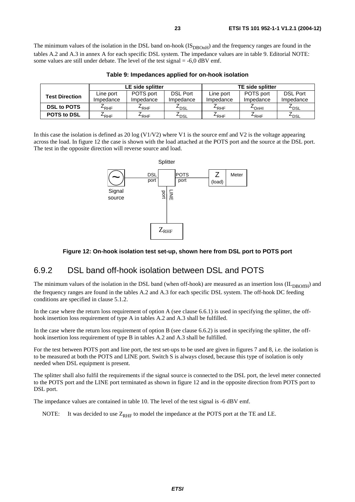The minimum values of the isolation in the DSL band on-hook  $(IS_{DBOnH})$  and the frequency ranges are found in the tables A.2 and A.3 in annex A for each specific DSL system. The impedance values are in table 9. Editorial NOTE: some values are still under debate. The level of the test signal = -6,0 dBV emf.

|                       | LE side splitter |                  |                    | <b>TE side splitter</b> |           |                  |
|-----------------------|------------------|------------------|--------------------|-------------------------|-----------|------------------|
| <b>Test Direction</b> | Line port        | POTS port        | <b>DSL Port</b>    | Line port               | POTS port | <b>DSL Port</b>  |
|                       | Impedance        | Impedance        | Impedance          | Impedance               | Impedance | Impedance        |
| <b>DSL to POTS</b>    | $4$ RHF          | $E_{RHF}$        | $-$ <sub>DSL</sub> | $E$ RHF                 | $4$ OnHI  | <sup>L</sup> DSL |
| <b>POTS to DSL</b>    | $4$ RHF          | <sup>∠</sup> RHF | $-$ <sub>DSL</sub> | $E_{RHF}$               | $4$ RHF   | $-$ DSL          |

**Table 9: Impedances applied for on-hook isolation** 

In this case the isolation is defined as 20 log  $(V1/V2)$  where V1 is the source emf and V2 is the voltage appearing across the load. In figure 12 the case is shown with the load attached at the POTS port and the source at the DSL port. The test in the opposite direction will reverse source and load.



#### **Figure 12: On-hook isolation test set-up, shown here from DSL port to POTS port**

#### 6.9.2 DSL band off-hook isolation between DSL and POTS

The minimum values of the isolation in the DSL band (when off-hook) are measured as an insertion loss ( $IL<sub>DBOffH</sub>$ ) and the frequency ranges are found in the tables A.2 and A.3 for each specific DSL system. The off-hook DC feeding conditions are specified in clause 5.1.2.

In the case where the return loss requirement of option A (see clause 6.6.1) is used in specifying the splitter, the offhook insertion loss requirement of type A in tables A.2 and A.3 shall be fulfilled.

In the case where the return loss requirement of option B (see clause 6.6.2) is used in specifying the splitter, the offhook insertion loss requirement of type B in tables A.2 and A.3 shall be fulfilled.

For the test between POTS port and line port, the test set-ups to be used are given in figures 7 and 8, i.e. the isolation is to be measured at both the POTS and LINE port. Switch S is always closed, because this type of isolation is only needed when DSL equipment is present.

The splitter shall also fulfil the requirements if the signal source is connected to the DSL port, the level meter connected to the POTS port and the LINE port terminated as shown in figure 12 and in the opposite direction from POTS port to DSL port.

The impedance values are contained in table 10. The level of the test signal is -6 dBV emf.

NOTE: It was decided to use  $Z_{RHF}$  to model the impedance at the POTS port at the TE and LE.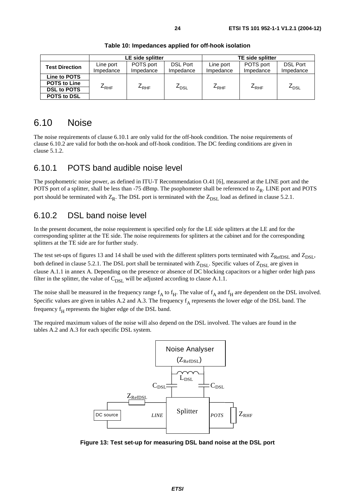### 6.10 Noise

The noise requirements of clause 6.10.1 are only valid for the off-hook condition. The noise requirements of clause 6.10.2 are valid for both the on-hook and off-hook condition. The DC feeding conditions are given in clause 5.1.2.

#### 6.10.1 POTS band audible noise level

The psophometric noise power, as defined in ITU-T Recommendation O.41 [6], measured at the LINE port and the POTS port of a splitter, shall be less than -75 dBmp. The psophometer shall be referenced to  $Z_R$ . LINE port and POTS port should be terminated with  $Z_R$ . The DSL port is terminated with the  $Z_{DSL}$  load as defined in clause 5.2.1.

#### 6.10.2 DSL band noise level

In the present document, the noise requirement is specified only for the LE side splitters at the LE and for the corresponding splitter at the TE side. The noise requirements for splitters at the cabinet and for the corresponding splitters at the TE side are for further study.

The test set-ups of figures 13 and 14 shall be used with the different splitters ports terminated with  $Z_{RefDSL}$  and  $Z_{DSL}$ , both defined in clause 5.2.1. The DSL port shall be terminated with  $Z_{DSL}$ . Specific values of  $Z_{DSL}$  are given in clause A.1.1 in annex A. Depending on the presence or absence of DC blocking capacitors or a higher order high pass filter in the splitter, the value of  $C_{\text{DSL}}$  will be adjusted according to clause A.1.1.

The noise shall be measured in the frequency range  $f_A$  to  $f_H$ . The value of  $f_A$  and  $f_H$  are dependent on the DSL involved. Specific values are given in tables A.2 and A.3. The frequency  $f_A$  represents the lower edge of the DSL band. The frequency  $f<sub>H</sub>$  represents the higher edge of the DSL band.

The required maximum values of the noise will also depend on the DSL involved. The values are found in the tables A.2 and A.3 for each specific DSL system.



**Figure 13: Test set-up for measuring DSL band noise at the DSL port**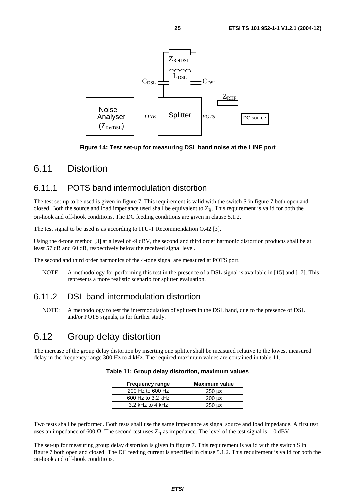

**Figure 14: Test set-up for measuring DSL band noise at the LINE port** 

### 6.11 Distortion

#### 6.11.1 POTS band intermodulation distortion

The test set-up to be used is given in figure 7. This requirement is valid with the switch S in figure 7 both open and closed. Both the source and load impedance used shall be equivalent to  $Z_R$ . This requirement is valid for both the on-hook and off-hook conditions. The DC feeding conditions are given in clause 5.1.2.

The test signal to be used is as according to ITU-T Recommendation O.42 [3].

Using the 4-tone method [3] at a level of -9 dBV, the second and third order harmonic distortion products shall be at least 57 dB and 60 dB, respectively below the received signal level.

The second and third order harmonics of the 4-tone signal are measured at POTS port.

NOTE: A methodology for performing this test in the presence of a DSL signal is available in [15] and [17]. This represents a more realistic scenario for splitter evaluation.

#### 6.11.2 DSL band intermodulation distortion

NOTE: A methodology to test the intermodulation of splitters in the DSL band, due to the presence of DSL and/or POTS signals, is for further study.

### 6.12 Group delay distortion

The increase of the group delay distortion by inserting one splitter shall be measured relative to the lowest measured delay in the frequency range 300 Hz to 4 kHz. The required maximum values are contained in table 11.

| <b>Frequency range</b> | <b>Maximum value</b>      |
|------------------------|---------------------------|
| 200 Hz to 600 Hz       | 250 us                    |
| 600 Hz to 3,2 kHz      | $200 \text{ }\mu\text{s}$ |
| 3.2 kHz to 4 kHz       | 250 us                    |

Two tests shall be performed. Both tests shall use the same impedance as signal source and load impedance. A first test uses an impedance of 600  $\Omega$ . The second test uses Z<sub>R</sub> as impedance. The level of the test signal is -10 dBV.

The set-up for measuring group delay distortion is given in figure 7. This requirement is valid with the switch S in figure 7 both open and closed. The DC feeding current is specified in clause 5.1.2. This requirement is valid for both the on-hook and off-hook conditions.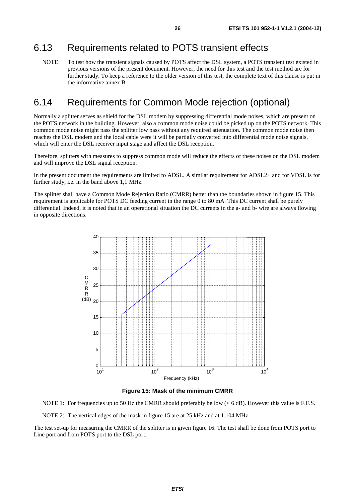### 6.13 Requirements related to POTS transient effects

NOTE: To test how the transient signals caused by POTS affect the DSL system, a POTS transient test existed in previous versions of the present document. However, the need for this test and the test method are for further study. To keep a reference to the older version of this test, the complete text of this clause is put in the informative annex B.

### 6.14 Requirements for Common Mode rejection (optional)

Normally a splitter serves as shield for the DSL modem by suppressing differential mode noises, which are present on the POTS network in the building. However, also a common mode noise could be picked up on the POTS network. This common mode noise might pass the splitter low pass without any required attenuation. The common mode noise then reaches the DSL modem and the local cable were it will be partially converted into differential mode noise signals, which will enter the DSL receiver input stage and affect the DSL reception.

Therefore, splitters with measures to suppress common mode will reduce the effects of these noises on the DSL modem and will improve the DSL signal reception.

In the present document the requirements are limited to ADSL. A similar requirement for ADSL2+ and for VDSL is for further study, i.e. in the band above 1,1 MHz.

The splitter shall have a Common Mode Rejection Ratio (CMRR) better than the boundaries shown in figure 15. This requirement is applicable for POTS DC feeding current in the range 0 to 80 mA. This DC current shall be purely differential. Indeed, it is noted that in an operational situation the DC currents in the a- and b- wire are always flowing in opposite directions.



**Figure 15: Mask of the minimum CMRR** 

NOTE 1: For frequencies up to 50 Hz the CMRR should preferably be low (< 6 dB). However this value is F.F.S.

NOTE 2: The vertical edges of the mask in figure 15 are at 25 kHz and at 1,104 MHz

The test set-up for measuring the CMRR of the splitter is in given figure 16. The test shall be done from POTS port to Line port and from POTS port to the DSL port.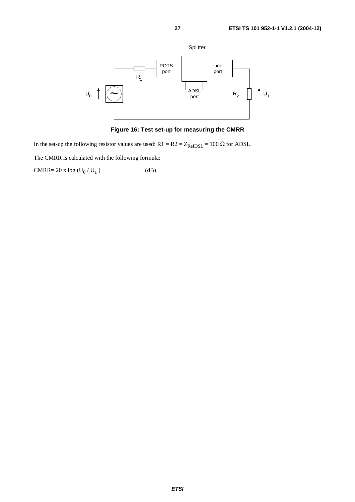

**Figure 16: Test set-up for measuring the CMRR** 

In the set-up the following resistor values are used:  $R1 = R2 = Z_{RefDSL} = 100 \Omega$  for ADSL.

The CMRR is calculated with the following formula:

 $\text{CMRR= 20 x log} \left( \text{U}_0 \, / \, \text{U}_1 \, \right) \tag{dB}$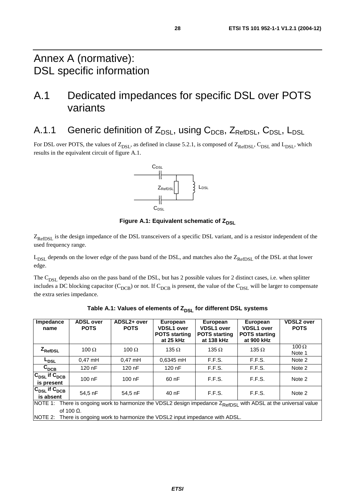## A.1 Dedicated impedances for specific DSL over POTS variants

A.1.1 Generic definition of  $Z_{\text{DSL}}$ , using  $C_{\text{DCB}}$ ,  $Z_{\text{RefDSL}}$ ,  $C_{\text{DSL}}$ ,  $L_{\text{DSL}}$ 

For DSL over POTS, the values of  $Z_{DSL}$ , as defined in clause 5.2.1, is composed of  $Z_{RefDSL}$ ,  $C_{DSL}$  and  $L_{DSL}$ , which results in the equivalent circuit of figure A.1.



**Figure A.1: Equivalent schematic of ZDSL** 

Z<sub>RefDSL</sub> is the design impedance of the DSL transceivers of a specific DSL variant, and is a resistor independent of the used frequency range.

 $L_{DSL}$  depends on the lower edge of the pass band of the DSL, and matches also the  $Z_{RefDSL}$  of the DSL at that lower edge.

The  $C_{DSI}$  depends also on the pass band of the DSL, but has 2 possible values for 2 distinct cases, i.e. when splitter includes a DC blocking capacitor ( $C_{DCB}$ ) or not. If  $C_{DCB}$  is present, the value of the  $C_{DSL}$  will be larger to compensate the extra series impedance.

| Impedance<br>name                                                                                                          | <b>ADSL over</b><br><b>POTS</b> | ADSL2+ over<br><b>POTS</b> | European<br><b>VDSL1</b> over<br><b>POTS starting</b><br>at 25 kHz | European<br><b>VDSL1</b> over<br><b>POTS starting</b><br>at 138 kHz | European<br><b>VDSL1 over</b><br><b>POTS</b> starting<br>at 900 kHz | <b>VDSL2 over</b><br><b>POTS</b> |
|----------------------------------------------------------------------------------------------------------------------------|---------------------------------|----------------------------|--------------------------------------------------------------------|---------------------------------------------------------------------|---------------------------------------------------------------------|----------------------------------|
| $Z_{\sf RefDSL}$                                                                                                           | 100 $\Omega$                    | 100 $\Omega$               | 135 $\Omega$                                                       | 135 $\Omega$                                                        | 135 $\Omega$                                                        | 100 $\Omega$<br>Note 1           |
| L <sub>DSL</sub>                                                                                                           | $0.47$ mH                       | $0.47$ mH                  | 0,6345 mH                                                          | F.F.S.                                                              | F.F.S.                                                              | Note 2                           |
| $\mathsf{c}_\mathtt{DCB}$                                                                                                  | $120$ nF                        | $120$ nF                   | 120 nF                                                             | F.F.S.                                                              | F.F.S.                                                              | Note 2                           |
| $ \mathtt{C}_{\mathtt{DSL}}$ if $\mathtt{C}_{\mathtt{DCB}}$<br>is present                                                  | $100$ nF                        | $100$ nF                   | 60nF                                                               | F.F.S.                                                              | F.F.S.                                                              | Note 2                           |
| $ \mathtt{C}_{\texttt{DSL}}$ if $\mathtt{C}_{\texttt{DCB}}$<br>is absent                                                   | 54,5 nF                         | 54.5 nF                    | 40 nF                                                              | F.F.S.                                                              | F.F.S.                                                              | Note 2                           |
| NOTE 1: There is ongoing work to harmonize the VDSL2 design impedance Z <sub>RefDSL</sub> with ADSL at the universal value |                                 |                            |                                                                    |                                                                     |                                                                     |                                  |
| of 100 $\Omega$ .<br>There is ongoing work to harmonize the VDSL2 input impedance with ADSL.<br>NOTE 2:                    |                                 |                            |                                                                    |                                                                     |                                                                     |                                  |

| Table A.1: Values of elements of Z <sub>DSL</sub> for different DSL systems |  |
|-----------------------------------------------------------------------------|--|
|-----------------------------------------------------------------------------|--|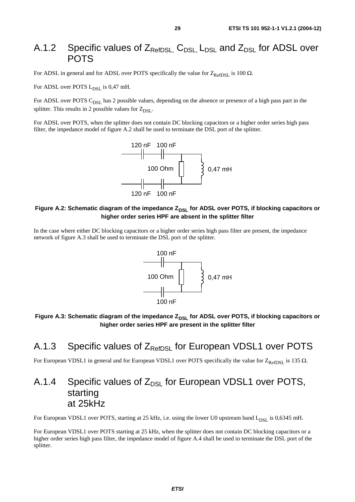### A.1.2 Specific values of  $Z_{\text{RefDSL}}$ ,  $C_{\text{DSL}}$ ,  $L_{\text{DSL}}$  and  $Z_{\text{DSL}}$  for ADSL over **POTS**

For ADSL in general and for ADSL over POTS specifically the value for  $Z_{\text{RefDSL}}$  is 100  $\Omega$ .

For ADSL over POTS  $L_{\text{DSL}}$  is 0,47 mH.

For ADSL over POTS C<sub>DSL</sub> has 2 possible values, depending on the absence or presence of a high pass part in the splitter. This results in 2 possible values for  $Z_{DSL}$ .

For ADSL over POTS, when the splitter does not contain DC blocking capacitors or a higher order series high pass filter, the impedance model of figure A.2 shall be used to terminate the DSL port of the splitter.



#### Figure A.2: Schematic diagram of the impedance Z<sub>DSL</sub> for ADSL over POTS, if blocking capacitors or **higher order series HPF are absent in the splitter filter**

In the case where either DC blocking capacitors or a higher order series high pass filter are present, the impedance network of figure A.3 shall be used to terminate the DSL port of the splitter.



#### Figure A.3: Schematic diagram of the impedance Z<sub>DSL</sub> for ADSL over POTS, if blocking capacitors or **higher order series HPF are present in the splitter filter**

### A.1.3 Specific values of  $Z_{\text{RefDSL}}$  for European VDSL1 over POTS

For European VDSL1 in general and for European VDSL1 over POTS specifically the value for  $Z_{\text{RefDSL}}$  is 135  $\Omega$ .

### A.1.4 Specific values of  $Z_{DSL}$  for European VDSL1 over POTS, starting at 25kHz

For European VDSL1 over POTS, starting at 25 kHz, i.e. using the lower U0 upstream band L<sub>DSL</sub> is 0,6345 mH.

For European VDSL1 over POTS starting at 25 kHz, when the splitter does not contain DC blocking capacitors or a higher order series high pass filter, the impedance model of figure A.4 shall be used to terminate the DSL port of the splitter.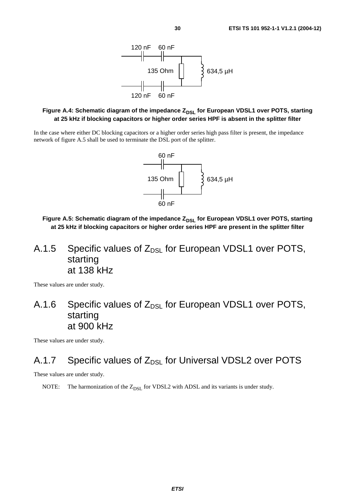

#### Figure A.4: Schematic diagram of the impedance Z<sub>DSL</sub> for European VDSL1 over POTS, starting **at 25 kHz if blocking capacitors or higher order series HPF is absent in the splitter filter**

In the case where either DC blocking capacitors or a higher order series high pass filter is present, the impedance network of figure A.5 shall be used to terminate the DSL port of the splitter.



Figure A.5: Schematic diagram of the impedance Z<sub>DSL</sub> for European VDSL1 over POTS, starting **at 25 kHz if blocking capacitors or higher order series HPF are present in the splitter filter** 

## A.1.5 Specific values of  $Z_{DSL}$  for European VDSL1 over POTS, starting at 138 kHz

These values are under study.

## A.1.6 Specific values of  $Z_{DSL}$  for European VDSL1 over POTS, starting at 900 kHz

These values are under study.

### A.1.7 Specific values of  $Z_{DSL}$  for Universal VDSL2 over POTS

These values are under study.

NOTE: The harmonization of the  $Z_{DSL}$  for VDSL2 with ADSL and its variants is under study.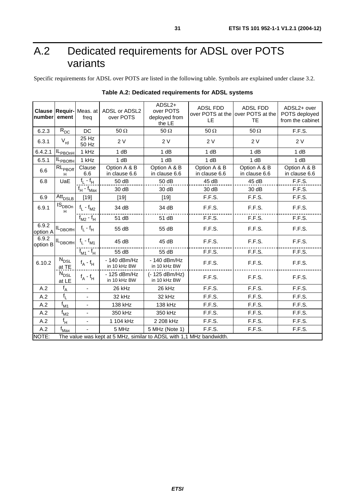## A.2 Dedicated requirements for ADSL over POTS variants

Specific requirements for ADSL over POTS are listed in the following table. Symbols are explained under clause 3.2.

| number                                                                        | ement                      | <b>Clause Requir-</b> Meas. at<br>freq | <b>ADSL or ADSL2</b><br>over POTS | ADSL2+<br>over POTS<br>deployed from<br>the LE | <b>ADSL FDD</b><br>over POTS at the lover POTS at the<br>LE | <b>ADSL FDD</b><br><b>TE</b>  | ADSL2+ over<br>POTS deployed<br>from the cabinet |
|-------------------------------------------------------------------------------|----------------------------|----------------------------------------|-----------------------------------|------------------------------------------------|-------------------------------------------------------------|-------------------------------|--------------------------------------------------|
| 6.2.3                                                                         | $\mathsf{R}_{\mathsf{DC}}$ | DC                                     | 50 $\Omega$                       | 50 $\Omega$                                    | $50 \Omega$                                                 | $50 \Omega$                   | F.F.S.                                           |
| 6.3.1                                                                         | $V_{rd}$                   | $25$ Hz<br>50 Hz                       | 2 V                               | 2V                                             | 2 V                                                         | 2 V                           | 2V                                               |
| 6.4.2.1                                                                       | -PBOnH                     | 1 kHz                                  | 1 dB                              | 1 dB                                           | 1 dB                                                        | 1 dB                          | 1 dB                                             |
| 6.5.1                                                                         | <b>PBOffH</b>              | 1 kHz                                  | 1 dB                              | 1 dB                                           | 1 dB                                                        | 1 dB                          | 1 dB                                             |
| 6.6                                                                           | $RL_{PBOff}$<br>H          | Clause<br>6.6                          | Option A & B<br>in clause 6.6     | Option A & B<br>in clause 6.6                  | Option A & B<br>in clause 6.6                               | Option A & B<br>in clause 6.6 | Option A & B<br>in clause 6.6                    |
| 6.8                                                                           | UaE                        | $f_L - f_H$                            | 50 dB                             | 50 dB                                          | 45 dB                                                       | 45 dB                         | F.F.S.                                           |
|                                                                               |                            | $f_H$ - $f_{Max}$                      | 30 dB                             | 30 dB                                          | 30 dB                                                       | 30 dB                         | F.F.S.                                           |
| 6.9                                                                           | Att <sub>DSLB</sub>        | $[19]$                                 | $[19]$                            | $[19]$                                         | F.F.S.                                                      | F.F.S.                        | F.F.S.                                           |
| 6.9.1                                                                         | IS <sub>DBOn</sub><br>H    | $f_L - f_{M2}$                         | 34 dB                             | 34 dB                                          | F.F.S.                                                      | F.F.S.                        | F.F.S.                                           |
|                                                                               |                            | $f_{M2}$ - $f_{H}$                     | 51 dB                             | 51 dB                                          | F.F.S.                                                      | F.F.S.                        | F.F.S.                                           |
| 6.9.2<br>option A                                                             | IL <sub>DBOffH</sub>       | $f_L - f_H$                            | 55 dB                             | 55 dB                                          | F.F.S.                                                      | F.F.S.                        | F.F.S.                                           |
| 6.9.2<br>option B                                                             | IL <sub>DBOffH</sub>       | $f_L - f_{M1}$                         | 45 dB                             | 45 dB                                          | F.F.S.                                                      | F.F.S.                        | F.F.S.                                           |
|                                                                               |                            | $f_{M1}$ - $f_{H1}$                    | 55 dB                             | 55 dB                                          | F.F.S.                                                      | F.F.S.                        | F.F.S.                                           |
| 6.10.2                                                                        | $\rm N_{\rm DSL}$<br>at TE | $f_A - f_H$                            | - 140 dBm/Hz<br>in 10 kHz BW      | $-140$ dBm/Hz<br>in 10 kHz BW                  | F.F.S.                                                      | F.F.S.                        | F.F.S.                                           |
|                                                                               | $\rm N_{\rm DSL}$<br>at LE | $f_A - f_H$                            | - 125 dBm/Hz<br>in 10 kHz BW      | (- 125 dBm/Hz)<br>in 10 kHz BW                 | F.F.S.                                                      | F.F.S.                        | F.F.S.                                           |
| A.2                                                                           | $f_A$                      |                                        | 26 kHz                            | 26 kHz                                         | F.F.S.                                                      | F.F.S.                        | F.F.S.                                           |
| A.2                                                                           | $f_L$                      | -                                      | 32 kHz                            | 32 kHz                                         | F.F.S.                                                      | F.F.S.                        | F.F.S.                                           |
| A.2                                                                           | $f_{M1}$                   | $\frac{1}{2}$                          | 138 kHz                           | 138 kHz                                        | F.F.S.                                                      | F.F.S.                        | F.F.S.                                           |
| A.2                                                                           | $f_{M2}$                   | $\qquad \qquad \blacksquare$           | 350 kHz                           | 350 kHz                                        | F.F.S.                                                      | F.F.S.                        | F.F.S.                                           |
| A.2                                                                           | $f_H$                      |                                        | 1 104 kHz                         | 2 208 kHz                                      | F.F.S.                                                      | F.F.S.                        | F.F.S.                                           |
| A.2                                                                           | $f_{\text{Max}}$           |                                        | 5 MHz                             | 5 MHz (Note 1)                                 | F.F.S.                                                      | F.F.S.                        | F.F.S.                                           |
| NOTE:<br>The value was kept at 5 MHz, similar to ADSL with 1,1 MHz bandwidth. |                            |                                        |                                   |                                                |                                                             |                               |                                                  |

|  |  | Table A.2: Dedicated requirements for ADSL systems |  |
|--|--|----------------------------------------------------|--|
|--|--|----------------------------------------------------|--|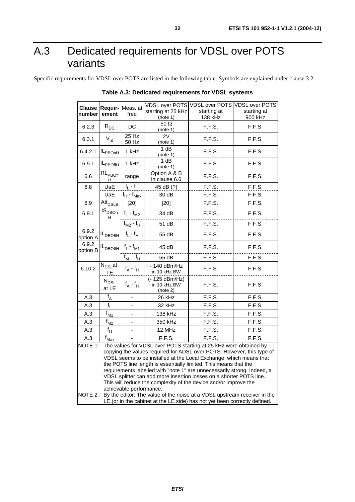## A.3 Dedicated requirements for VDSL over POTS variants

Specific requirements for VDSL over POTS are listed in the following table. Symbols are explained under clause 3.2.

| <b>Clause</b>                                                                                                                                                                                                                                                                                                                                                                                                                                                                                                                                                                                                                           | Requir-                       | Meas. at                               |                                             | VDSL over POTS VDSL over POTS | <b>VDSL over POTS</b> |
|-----------------------------------------------------------------------------------------------------------------------------------------------------------------------------------------------------------------------------------------------------------------------------------------------------------------------------------------------------------------------------------------------------------------------------------------------------------------------------------------------------------------------------------------------------------------------------------------------------------------------------------------|-------------------------------|----------------------------------------|---------------------------------------------|-------------------------------|-----------------------|
| number                                                                                                                                                                                                                                                                                                                                                                                                                                                                                                                                                                                                                                  | ement                         | freq                                   | starting at 25 kHz                          | starting at                   | starting at           |
|                                                                                                                                                                                                                                                                                                                                                                                                                                                                                                                                                                                                                                         |                               |                                        | (note 1)                                    | 138 kHz                       | 900 kHz               |
| 6.2.3                                                                                                                                                                                                                                                                                                                                                                                                                                                                                                                                                                                                                                   | $R_{DC}$                      | DC                                     | $50 \Omega$<br>(note 1)                     | F.F.S.                        | F.F.S.                |
| 6.3.1                                                                                                                                                                                                                                                                                                                                                                                                                                                                                                                                                                                                                                   | $V_{rd}$                      | $25$ Hz<br>50 Hz                       | 2V<br>(note 1)                              | F.F.S.                        | F.F.S.                |
| 6.4.2.1                                                                                                                                                                                                                                                                                                                                                                                                                                                                                                                                                                                                                                 | IL <sub>PBOnH</sub>           | 1 kHz                                  | 1 dB<br>(note 1)                            | F.F.S.                        | F.F.S.                |
| 6.5.1                                                                                                                                                                                                                                                                                                                                                                                                                                                                                                                                                                                                                                   | IL <sub>PBOffH</sub>          | 1 kHz                                  | 1 dB<br>(note 1)                            | F.F.S.                        | F.F.S.                |
| 6.6                                                                                                                                                                                                                                                                                                                                                                                                                                                                                                                                                                                                                                     | $RL_{PBOff}$<br>н             | range                                  | Option A & B<br>in clause 6.6               | F.F.S.                        | F.F.S.                |
| 6.8                                                                                                                                                                                                                                                                                                                                                                                                                                                                                                                                                                                                                                     | UaE                           | $f_1 - f_H$                            | 45 dB (?)                                   | F.F.S.                        | F.F.S.                |
|                                                                                                                                                                                                                                                                                                                                                                                                                                                                                                                                                                                                                                         | UaE                           | $f_H - f_{Max}$                        | 30 dB                                       | F.F.S.                        | F.F.S.                |
| 6.9                                                                                                                                                                                                                                                                                                                                                                                                                                                                                                                                                                                                                                     | Att <sub>DSLB</sub>           | $[20]$                                 | $[20]$                                      | F.F.S.                        | F.F.S.                |
| 6.9.1                                                                                                                                                                                                                                                                                                                                                                                                                                                                                                                                                                                                                                   | IS <sub>DBOn</sub><br>H.      | ${\sf f}_{\sf L}$ - ${\sf f}_{\sf M2}$ | 34 dB                                       | F.F.S.                        | F.F.S.                |
|                                                                                                                                                                                                                                                                                                                                                                                                                                                                                                                                                                                                                                         |                               | $f_{M2} - f_H$                         | 51 dB                                       | F.F.S.                        | F.F.S.                |
| 6.9.2<br>option A                                                                                                                                                                                                                                                                                                                                                                                                                                                                                                                                                                                                                       | IL <sub>DBOffH</sub>          | $f_1 - f_H$                            | 55 dB                                       | F.F.S.                        | F.F.S.                |
| 6.9.2<br>option B                                                                                                                                                                                                                                                                                                                                                                                                                                                                                                                                                                                                                       | IL <sub>DBOffH</sub>          | $f_L - f_{M1}$                         | 45 dB                                       | F.F.S.                        | F.F.S.                |
|                                                                                                                                                                                                                                                                                                                                                                                                                                                                                                                                                                                                                                         |                               | $f_{M1} - f_H$                         | 55 dB                                       | F.F.S.                        | F.F.S.                |
| 6.10.2                                                                                                                                                                                                                                                                                                                                                                                                                                                                                                                                                                                                                                  | $N_{\text{DSL}}$ at<br>TE     | $f_A - f_H$                            | - 140 dBm/Hz<br>in 10 kHz BW                | F.F.S.                        | F.F.S.                |
|                                                                                                                                                                                                                                                                                                                                                                                                                                                                                                                                                                                                                                         | ${\rm N}_{\rm{DSL}}$<br>at LE | $f_A - f_H$                            | $(-125 dBm/Hz)$<br>in 10 kHz BW<br>(note 2) | F.F.S.                        | F.F.S.                |
| A.3                                                                                                                                                                                                                                                                                                                                                                                                                                                                                                                                                                                                                                     | $f_A$                         | $\blacksquare$                         | 26 kHz                                      | F.F.S.                        | F.F.S.                |
| A.3                                                                                                                                                                                                                                                                                                                                                                                                                                                                                                                                                                                                                                     | $f_1$                         | $\blacksquare$                         | 32 kHz                                      | F.F.S.                        | F.F.S.                |
| A.3                                                                                                                                                                                                                                                                                                                                                                                                                                                                                                                                                                                                                                     | $f_{M1}$                      | $\blacksquare$                         | 138 kHz                                     | F.F.S.                        | F.F.S.                |
| A.3                                                                                                                                                                                                                                                                                                                                                                                                                                                                                                                                                                                                                                     | $f_{M2}$                      | $\blacksquare$                         | 350 kHz                                     | F.F.S.                        | F.F.S.                |
| A.3                                                                                                                                                                                                                                                                                                                                                                                                                                                                                                                                                                                                                                     | $f_{H_1}$                     |                                        | 12 MHz                                      | F.F.S.                        | F.F.S.                |
| A.3                                                                                                                                                                                                                                                                                                                                                                                                                                                                                                                                                                                                                                     | $f_{\text{Max}}$              |                                        | F.F.S.                                      | F.F.S.                        | F.F.S.                |
| NOTE 1:<br>The values for VDSL over POTS starting at 25 kHz were obtained by<br>copying the values required for ADSL over POTS. However, this type of<br>VDSL seems to be installed at the Local Exchange, which means that<br>the POTS line length is essentially limited. This means that the<br>requirements labelled with "note 1" are unnecessarily strong. Indeed, a<br>VDSL splitter can add more insertion losses on a shorter POTS line.<br>This will reduce the complexity of the device and/or improve the<br>achievable performance.<br>NOTE 2:<br>By the editor: The value of the noise at a VDSL upstream receiver in the |                               |                                        |                                             |                               |                       |
| LE (or in the cabinet at the LE side) has not yet been correctly defined.                                                                                                                                                                                                                                                                                                                                                                                                                                                                                                                                                               |                               |                                        |                                             |                               |                       |

**Table A.3: Dedicated requirements for VDSL systems**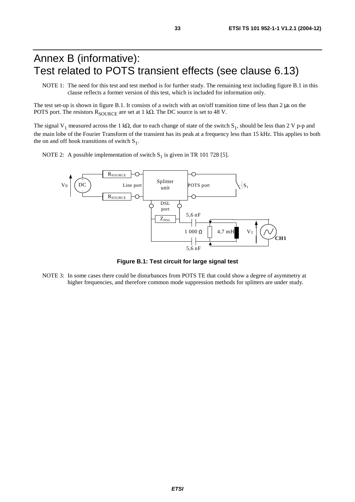## Annex B (informative): Test related to POTS transient effects (see clause 6.13)

NOTE 1: The need for this test and test method is for further study. The remaining text including figure B.1 in this clause reflects a former version of this test, which is included for information only.

The test set-up is shown in figure B.1. It consists of a switch with an on/off transition time of less than 2  $\mu$ s on the POTS port. The resistors  $R_{\text{SOLRCE}}$  are set at 1 k $\Omega$ . The DC source is set to 48 V.

The signal V<sub>1</sub> measured across the 1 k $\Omega$ , due to each change of state of the switch S<sub>1</sub>, should be less than 2 V p-p and the main lobe of the Fourier Transform of the transient has its peak at a frequency less than 15 kHz. This applies to both the on and off hook transitions of switch  $S_1$ .

NOTE 2: A possible implementation of switch  $S_1$  is given in TR 101 728 [5].



**Figure B.1: Test circuit for large signal test** 

NOTE 3: In some cases there could be disturbances from POTS TE that could show a degree of asymmetry at higher frequencies, and therefore common mode suppression methods for splitters are under study.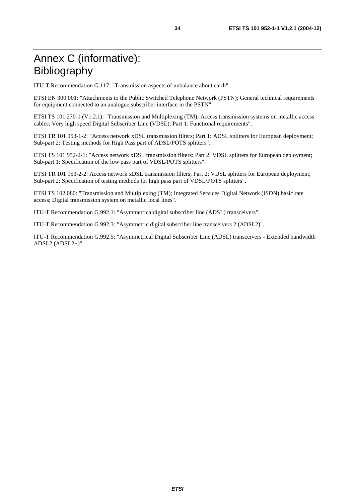## Annex C (informative): Bibliography

ITU-T Recommendation G.117: "Transmission aspects of unbalance about earth".

ETSI EN 300 001: "Attachments to the Public Switched Telephone Network (PSTN); General technical requirements for equipment connected to an analogue subscriber interface in the PSTN".

ETSI TS 101 270-1 (V1.2.1): "Transmission and Multiplexing (TM); Access transmission systems on metallic access cables; Very high speed Digital Subscriber Line (VDSL); Part 1: Functional requirements".

ETSI TR 101 953-1-2: "Access network xDSL transmission filters; Part 1: ADSL splitters for European deployment; Sub-part 2: Testing methods for High Pass part of ADSL/POTS splitters".

ETSI TS 101 952-2-1: "Access network xDSL transmission filters: Part 2: VDSL splitters for European deployment; Sub-part 1: Specification of the low pass part of VDSL/POTS splitters".

ETSI TR 101 953-2-2: Access network xDSL transmission filters; Part 2: VDSL splitters for European deployment; Sub-part 2: Specification of testing methods for high pass part of VDSL/POTS splitters".

ETSI TS 102 080: "Transmission and Multiplexing (TM); Integrated Services Digital Network (ISDN) basic rate access; Digital transmission system on metallic local lines".

ITU-T Recommendation G.992.1: "Asymmetricaldigital subscriber line (ADSL) transceivers".

ITU-T Recommendation G.992.3: "Asymmetric digital subscriber line transceivers 2 (ADSL2)".

ITU-T Recommendation G.992.5: "Asymmetrical Digital Subscriber Line (ADSL) transceivers - Extended bandwidth ADSL2 (ADSL2+)".